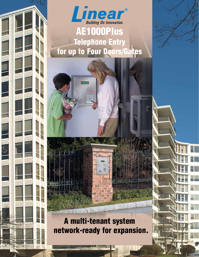

Telephone Entry for up to Four Doors/Gates

### A multi-tenant system network-ready for expansion.

**TOWN STATE**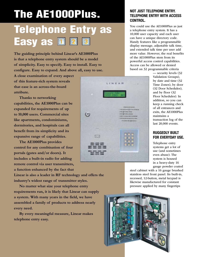# The AE1000Plus.

## Telephone Entry as **Easy as DD**

**The guiding principle behind Linear's AE1000Plus is that a telephone entry system should be a model of simplicity. Easy to specify. Easy to install. Easy to configure. Easy to expand. And above all, easy to use.** 

**A close examination of every aspect of this feature-rich system reveals that ease is an across-the-board attribute.**

 **Thanks to networking capabilities, the AE1000Plus can be expanded for requirements of up to 10,000 users. Commercial sites like apartments, condominiums, dormitories, and hospitals can all benefit from its simplicity and its expansive range of capabilities.** 

 **The AE1000Plus provides control for any combination of four portals (gates and/or doors). It includes a built-in radio for adding remote control via user transmitters, a function enhanced by the fact that** 

**Linear is also a leader in RF technology and offers the industry's widest range of transmitter styles.**

 **No matter what size your telephone entry requirements run, it is likely that Linear can supply a system. With many years in the field, we have assembled a family of products to address nearly every need.**

 **By every meaningful measure, Linear makes telephone entry easy.**

#### **NOT JUST TELEPHONE ENTRY. TELEPHONE ENTRY WITH ACCESS CONTROL.**

You could use the AE1000Plus as just a telephone entry system. It has a 10,000 user capacity and each user can have a unique directory code. Handy features like a programmable display message, adjustable talk time, and extended talk time per user add more value. However, the real benefits of the AE1000Plus stem from its powerful access control capabilities. Access can be allowed or denied based on 32 programmable criteria

> — security levels (32 Validation Groups), by date and time (32 Time Zones), by door (32 Door Schedules), and by floor (32 Floor Schedules). In addition, so you can keep a running check of all entrances and exits, the AE1000Plus maintains a transaction log of the last 20,000 events.

#### **RUGGEDLY BUILT FOR EVERYDAY USE.**

Telephone entry systems get a lot of use (and sometimes even abuse). The system is housed in a heavy-duty 16 gauge powder coated

steel cabinet with a 16 gauge brushed stainless steel front panel. Its built-in, recessed, 12-button, metal keypad is likewise manufactured for constant pressure applied by many fingertips



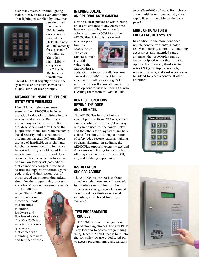over many years. Surround lighting makes it easy to read even after hours. That lighting is supplied by LEDs that



remain on all the time at 50% intensity; once a key is pressed, the LEDs illuminate at 100% intensity for a period of two minutes. The other high visibility component is a 2 line by 16 character transflective,

backlit LCD that brightly displays the system's user directory, as well as a helpful series of user prompts.

#### **MEGACODE® INSIDE. TELEPHONE ENTRY WITH WIRELESS!**

Like all Linear telephone entry systems, the AE1000Plus includes the added value of a built-in wireless receiver and antenna. But this is not just any wireless receiver. It's the MegaCode® radio by Linear, the people who pioneered radio frequency based security and access control. The famous MegaCode® unit allows the use of handheld, visor clip, and keychain transmitters (the industry's largest selection) to achieve additional remote control over gates and door openers. Its code selection from over one million factory-set possibilities that cannot be changed in the field assures the highest protection against code theft and duplication. Use of block-coded transmitters dramatically simplifies the programming process. A choice of optional antennas extends

the AE1000Plus's range. The EXA-1000 is a remote, omni directional model that includes mounting hardware and five feet of cable. The EXA-2000 is a remote directionaltype model that comes with mounting hardware and ten feet of cable.

#### **IN LIVING COLOR. AN OPTIONAL CCTV CAMERA.**

Getting a clear picture of what's going on at any entrance at any given time is as easy as adding an optional, color cctv camera (CCM-1A) to the AE1000Plus. It installs inside and

receives power from the control board. The color camera doesn't just add value to the AE1000Plus; it



adds security to any installation. You can add a CPDM-1 to combine the video signal with an existing CATV network. This will allow all tenants in a development to view on their TVs, who is calling them from the AE1000Plus.

#### **CONTROL FUNCTIONS BEYOND THE DOOR AND/ OR GATE.**

The AE1000Plus has four built-in general purpose (form "C") relays. Each can be configured for open/close. Any one can be used for the control relay and the others for a myriad of auxiliary control functions, including activation of safety edge reverse, external lighting, or alarm shunting. In addition, the AE1000Plus supports *request to exit* and *door status* monitoring for each relay. All relay contacts have extensive RFI, arc, and lightning suppression.

#### **INSTALLATION CHOICES ABOUND.**

The AE1000Plus can go just about anywhere telephone entry is needed. Its stainless steel cabinet can be either surface or gooseneck mounted as standard. For flush or recessed mounting, an optional trim ring is available.

#### **TWO PROGRAMMING CHOICES:**

AE1000Plus now offers you two programming choices. Use any PC at any location to access programming using Linear's AXNET that is built into the controller. Or use a dedicated PC to access programming using Linear's

AccessBase2000 software. Both choices allow multiple unit connectivity (see capabilities in the table on the back page).

#### **MORE OPTIONS FOR A FULL-FEATURED SYSTEM.**

In addition to the aforementioned remote control transmitters, color CCTV monitoring, alternative mounting accessories, and extended range antennas, the AE1000Plus can be easily equipped with other valuable options. For instance, thanks to two sets of Wiegand inputs, keypads, remote receivers, and card readers can be added for access control at other entrances..